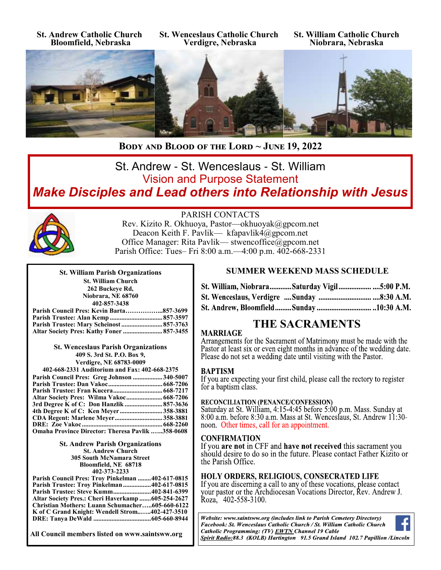**St. Andrew Catholic Church Bloomfield, Nebraska**

**St. Wenceslaus Catholic Church Verdigre, Nebraska**

**St. William Catholic Church Niobrara, Nebraska**



**Body and Blood of the Lord ~ June 19, 2022** 

# St. Andrew - St. Wenceslaus - St. William Vision and Purpose Statement *Make Disciples and Lead others into Relationship with Jesus*



PARISH CONTACTS

Rev. Kizito R. Okhuoya, Pastor—okhuoyak@gpcom.net Deacon Keith F. Pavlik— kfapavlik4@gpcom.net Office Manager: Rita Pavlik— stwencoffice@gpcom.net Parish Office: Tues– Fri 8:00 a.m.—4:00 p.m. 402-668-2331

| <b>St. William Parish Organizations</b>  |          |
|------------------------------------------|----------|
| <b>St. William Church</b>                |          |
| 262 Buckeye Rd,                          |          |
| Niobrara, NE 68760                       |          |
| 402-857-3438                             |          |
| Parish Council Pres: Kevin Barta857-3699 |          |
| Parich Trustee• Alan Kemn                | 857.3507 |

| Altar Society Pres: Kathy Foner  857-3455 |  |
|-------------------------------------------|--|
|                                           |  |

**St. Wenceslaus Parish Organizations 409 S. 3rd St. P.O. Box 9, Verdigre, NE 68783-0009**

| 402-668-2331 Auditorium and Fax: 402-668-2375           |  |  |  |
|---------------------------------------------------------|--|--|--|
| Parish Council Pres: Greg Johnson 340-5007              |  |  |  |
|                                                         |  |  |  |
|                                                         |  |  |  |
|                                                         |  |  |  |
| 3rd Degree K of C: Don Hanzlik  857-3636                |  |  |  |
|                                                         |  |  |  |
| <b>CDA Regent: Marlene Meyer358-3881</b>                |  |  |  |
|                                                         |  |  |  |
| <b>Omaha Province Director: Theresa Pavlik 358-0608</b> |  |  |  |

**St. Andrew Parish Organizations St. Andrew Church 305 South McNamara Street Bloomfield, NE 68718 402-373-2233**

| Parish Council Pres: Troy Pinkelman 402-617-0815  |  |
|---------------------------------------------------|--|
| <b>Parish Trustee: Troy Pinkelman402-617-0815</b> |  |
| Parish Trustee: Steve Kumm402-841-6399            |  |
| Altar Society Pres.: Cheri Haverkamp 605-254-2627 |  |
| Christian Mothers: Luann Schumacher605-660-6122   |  |
| K of C Grand Knight: Wendell Strom402-427-3510    |  |
|                                                   |  |

**All Council members listed on www.saintsww.org**

### **SUMMER WEEKEND MASS SCHEDULE**

| St. William, NiobraraSaturday Vigil5:00 P.M. |  |  |
|----------------------------------------------|--|--|
|                                              |  |  |
|                                              |  |  |

# **THE SACRAMENTS**

#### **MARRIAGE**

Arrangements for the Sacrament of Matrimony must be made with the Pastor at least six or even eight months in advance of the wedding date. Please do not set a wedding date until visiting with the Pastor.

#### **BAPTISM**

If you are expecting your first child, please call the rectory to register for a baptism class.

### **RECONCILIATION (PENANCE/CONFESSION)**

Saturday at St. William, 4:15-4:45 before 5:00 p.m. Mass. Sunday at 8:00 a.m. before 8:30 a.m. Mass at St. Wenceslaus, St. Andrew 11:30noon. Other times, call for an appointment.

#### **CONFIRMATION**

If you are not in CFF and have not received this sacrament you should desire to do so in the future. Please contact Father Kizito or the Parish Office.

#### **HOLY ORDERS, RELIGIOUS, CONSECRATED LIFE**

If you are discerning a call to any of these vocations, please contact your pastor or the Archdiocesan Vocations Director, Rev. Andrew J. Roza, 402-558-3100.

Website: www.saintsww.org (includes link to Parish Cemetery Directory) Facebook: St. Wenceslaus Catholic Church / St. William Catholic Church Catholic Programming: (TV) EWTN Channel 19 Cable Spirit Radio:88.3 (KOLB) Hartington 91.5 Grand Island 102.7 Papillion /Lincoln

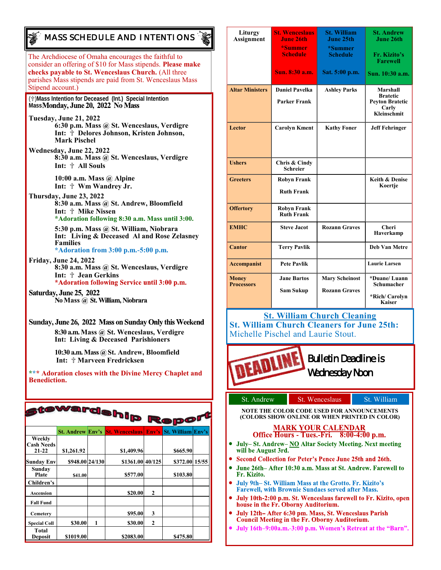## *MASS SCHEDULE AND INTENTIONS*

The Archdiocese of Omaha encourages the faithful to consider an offering of \$10 for Mass stipends. **Please make checks payable to St. Wenceslaus Church.** (All three parishes Mass stipends are paid from St. Wenceslaus Mass Stipend account.)

(✞)**Mass Intention for Deceased (Int.) Special Intention**  Mass**Monday, June 20, 2022 No Mass** 

- **Tuesday, June 21, 2022 6:30 p.m. Mass @ St. Wenceslaus, Verdigre Int:** ✞ **Delores Johnson, Kristen Johnson, Mark Pischel**
- **Wednesday, June 22, 2022 8:30 a.m. Mass @ St. Wenceslaus, Verdigre Int:** ✞ **All Souls**

**10:00 a.m. Mass @ Alpine Int:** ✞ **Wm Wandrey Jr.**

**Thursday, June 23, 2022 8:30 a.m. Mass @ St. Andrew, Bloomfield Int:** ✞ **Mike Nissen \*Adoration following 8:30 a.m. Mass until 3:00.**

> **5:30 p.m. Mass @ St. William, Niobrara Int: Living & Deceased Al and Rose Zelasney Families \*Adoration from 3:00 p.m.-5:00 p.m.**

**Friday, June 24, 2022 8:30 a.m. Mass @ St. Wenceslaus, Verdigre** Int:  $\dagger$  Jean Gerkins<br>\*Adoration following Service until 3:00 p.m.

Saturday, June 25, 2022 No Mass @ St. William, Niobrara

Sunday, June 26, 2022 Mass on Sunday Only this Weekend **8:30 a.m. Mass @ St. Wenceslaus, Verdigre Int: Living & Deceased Parishioners**

> **10:30 a.m. Mass @ St. Andrew, Bloomfield Int:** ✞ **Marveen Fredricksen**

**\*\*\* Adoration closes with the Divine Mercy Chaplet and Benediction.** 

| tewardship Repor <sup>t</sup> ;          |                         |   |                       |              |                          |  |
|------------------------------------------|-------------------------|---|-----------------------|--------------|--------------------------|--|
|                                          | <b>St. Andrew Env's</b> |   | <b>St. Wenceslaus</b> | Env's        | <b>St. William Env's</b> |  |
| Weekly<br><b>Cash Needs</b><br>$21 - 22$ | \$1,261.92              |   | \$1,409.96            |              | \$665.90                 |  |
| <b>Sunday Env</b>                        | \$948.00 24/130         |   | \$1361.00 40/125      |              | \$372.00 15/55           |  |
| Sunday<br>Plate                          | \$41.00                 |   | \$577.00              |              | \$103.80                 |  |
| Children's                               |                         |   |                       |              |                          |  |
| <b>Ascension</b>                         |                         |   | \$20.00               | $\mathbf{2}$ |                          |  |
| <b>Fall Fund</b>                         |                         |   |                       |              |                          |  |
| Cemetery                                 |                         |   | \$95.00               | 3            |                          |  |
| <b>Special Coll</b>                      | \$30.00                 | 1 | \$30.00               | $\mathbf{2}$ |                          |  |
| Total<br>Deposit                         | \$1019.00               |   | \$2083.00             |              | \$475.80                 |  |

| Liturgy<br><b>Assignment</b>      | <b>St. Wenceslaus</b><br><b>June 26th</b><br>*Summer<br><b>Schedule</b> | <b>St. William</b><br>June 25th<br>*Summer<br><b>Schedule</b> | <b>St. Andrew</b><br>June 26th<br>Fr. Kizito's<br><b>Farewell</b>             |
|-----------------------------------|-------------------------------------------------------------------------|---------------------------------------------------------------|-------------------------------------------------------------------------------|
|                                   | Sun. 8:30 a.m.                                                          | Sat. 5:00 p.m.                                                | Sun. 10:30 a.m.                                                               |
| <b>Altar Ministers</b>            | <b>Daniel Pavelka</b><br><b>Parker Frank</b>                            | <b>Ashley Parks</b>                                           | Marshall<br><b>Bratetic</b><br><b>Peyton Bratetic</b><br>Carly<br>Kleinschmit |
| Lector                            | <b>Carolyn Kment</b>                                                    | <b>Kathy Foner</b>                                            | <b>Jeff Fehringer</b>                                                         |
| <b>Ushers</b>                     | Chris & Cindy<br><b>Schreier</b>                                        |                                                               |                                                                               |
| <b>Greeters</b>                   | <b>Robyn Frank</b><br><b>Ruth Frank</b>                                 |                                                               | <b>Keith &amp; Denise</b><br>Koertje                                          |
| <b>Offertory</b>                  | <b>Robyn Frank</b><br><b>Ruth Frank</b>                                 |                                                               |                                                                               |
| <b>EMHC</b>                       | <b>Steve Jacot</b>                                                      | <b>Rozann Graves</b>                                          | Cheri<br>Haverkamp                                                            |
| <b>Cantor</b>                     | <b>Terry Pavlik</b>                                                     |                                                               | <b>Deb Van Metre</b>                                                          |
| Accompanist                       | <b>Pete Pavlik</b>                                                      |                                                               | <b>Laurie Larsen</b>                                                          |
| <b>Money</b><br><b>Processors</b> | <b>Jane Bartos</b><br><b>Sam Sukup</b>                                  | <b>Mary Scheinost</b><br><b>Rozann Graves</b>                 | *Duane/Luann<br>Schumacher<br>*Rich/ Carolyn<br><b>Kaiser</b>                 |

# **St. William Church Cleaning**

**St. William Church Cleaners for June 25th:** Michelle Pischel and Laurie Stout.



Bulletin Deadline is Wednesday Noon

| št. Andrew | St. Wenc |
|------------|----------|
|            |          |

St. William

**NOTE THE COLOR CODE USED FOR ANNOUNCEMENTS (COLORS SHOW ONLINE OR WHEN PRINTED IN COLOR)**

#### **MARK YOUR CALENDAR** Office Hours - Tues.-Fri. 8:00-4:00 p.m.

- July-St. Andrew-NO Altar Society Meeting. Next meeting  $\bullet$ will be August 3rd.
- Second Collection for Peter's Pence June 25th and 26th.
- June 26th- After 10:30 a.m. Mass at St. Andrew. Farewell to  $\bullet$ Fr. Kizito.
- July 9th-St. William Mass at the Grotto. Fr. Kizito's **Farewell, with Brownie Sundaes served after Mass.**
- July 10th-2:00 p.m. St. Wenceslaus farewell to Fr. Kizito, open house in the Fr. Oborny Auditorium.
- July 12th–After 6:30 pm. Mass, St. Wenceslaus Parish **Council Meeting in the Fr. Oborny Auditorium.**
- July 16th-9:00a.m.-3:00 p.m. Women's Retreat at the "Barn".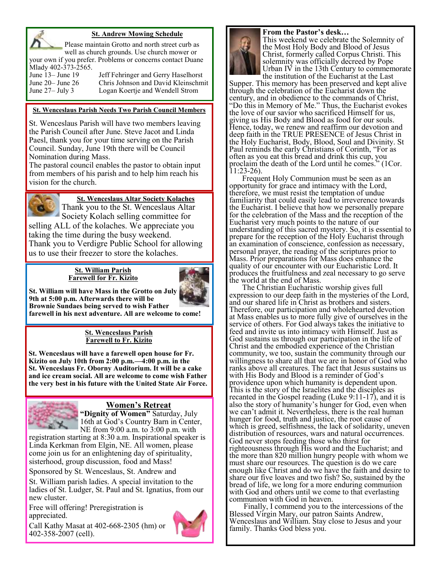

#### **St. Andrew Mowing Schedule**

Please maintain Grotto and north street curb as well as church grounds. Use church mower or your own if you prefer. Problems or concerns contact Duane Mlady 402-373-2565.

June 13– June 19 Jeff Fehringer and Gerry Haselhorst<br>June 20– June 26 Chris Johnson and David Kleinschm Chris Johnson and David Kleinschmit June 27– July 3 Logan Koertje and Wendell Strom

#### **St. Wenceslaus Parish Needs Two Parish Council Members**

St. Wenceslaus Parish will have two members leaving the Parish Council after June. Steve Jacot and Linda Paesl, thank you for your time serving on the Parish Council. Sunday, June 19th there will be Council Nomination during Mass.

The pastoral council enables the pastor to obtain input from members of his parish and to help him reach his vision for the church.



**St. Wenceslaus Altar Society Kolaches**

Thank you to the St. Wenceslaus Altar Society Kolach selling committee for

selling ALL of the kolaches. We appreciate you taking the time during the busy weekend. Thank you to Verdigre Public School for allowing us to use their freezer to store the kolaches.

#### **St. William Parish Farewell for Fr. Kizito**



**St. William will have Mass in the Grotto on July 9th at 5:00 p.m. Afterwards there will be Brownie Sundaes being served to wish Father farewell in his next adventure. All are welcome to come!**

#### **St. Wenceslaus Parish Farewell to Fr. Kizito**

**St. Wenceslaus will have a farewell open house for Fr. Kizito on July 10th from 2:00 p.m.—4:00 p.m. in the St. Wenceslaus Fr. Oborny Auditorium. It will be a cake and ice cream social. All are welcome to come wish Father the very best in his future with the United State Air Force.** 



### **Women's Retreat**

**"Dignity of Women"** Saturday, July 16th at God's Country Barn in Center, NE from 9:00 a.m. to 3:00 p.m. with

registration starting at 8:30 a.m. Inspirational speaker is Linda Kerkman from Elgin, NE. All women, please come join us for an enlightening day of spirituality, sisterhood, group discussion, food and Mass!

Sponsored by St. Wenceslaus, St. Andrew and

St. William parish ladies. A special invitation to the ladies of St. Ludger, St. Paul and St. Ignatius, from our new cluster.

Free will offering! Preregistration is appreciated.



Call Kathy Masat at 402-668-2305 (hm) or 402-358-2007 (cell).





This weekend we celebrate the Solemnity of the Most Holy Body and Blood of Jesus Christ, formerly called Corpus Christi. This solemnity was officially decreed by Pope Urban IV in the 13th Century to commemorate

the institution of the Eucharist at the Last Supper. This memory has been preserved and kept alive through the celebration of the Eucharist down the century, and in obedience to the commands of Christ, "Do this in Memory of Me." Thus, the Eucharist evokes the love of our savior who sacrificed Himself for us, giving us His Body and Blood as food for our souls. Hence, today, we renew and reaffirm our devotion and deep faith in the TRUE PRESENCE of Jesus Christ in the Holy Eucharist, Body, Blood, Soul and Divinity. St Paul reminds the early Christians of Corinth, "For as often as you eat this bread and drink this cup, you proclaim the death of the Lord until he comes." (1Cor. 11:23-26).

Frequent Holy Communion must be seen as an opportunity for grace and intimacy with the Lord, therefore, we must resist the temptation of undue familiarity that could easily lead to irreverence towards the Eucharist. I believe that how we personally prepare for the celebration of the Mass and the reception of the Eucharist very much points to the nature of our understanding of this sacred mystery. So, it is essential to prepare for the reception of the Holy Eucharist through an examination of conscience, confession as necessary, personal prayer, the reading of the scriptures prior to Mass. Prior preparations for Mass does enhance the quality of our encounter with our Eucharistic Lord. It produces the fruitfulness and zeal necessary to go serve the world at the end of Mass.

The Christian Eucharistic worship gives full expression to our deep faith in the mysteries of the Lord, and our shared life in Christ as brothers and sisters. Therefore, our participation and wholehearted devotion at Mass enables us to more fully give of ourselves in the service of others. For God always takes the initiative to feed and invite us into intimacy with Himself. Just as God sustains us through our participation in the life of Christ and the embodied experience of the Christian community, we too, sustain the community through our willingness to share all that we are in honor of God who ranks above all creatures. The fact that Jesus sustains us with His Body and Blood is a reminder of God's providence upon which humanity is dependent upon. This is the story of the Israelites and the disciples as recanted in the Gospel reading (Luke 9:11-17), and it is also the story of humanity's hunger for God, even when we can't admit it. Nevertheless, there is the real human hunger for food, truth and justice, the root cause of which is greed, selfishness, the lack of solidarity, uneven distribution of resources, wars and natural occurrences. God never stops feeding those who thirst for righteousness through His word and the Eucharist; and the more than 820 million hungry people with whom we must share our resources. The question is do we care enough like Christ and do we have the faith and desire to share our five loaves and two fish? So, sustained by the bread of life, we long for a more enduring communion with God and others until we come to that everlasting communion with God in heaven.

Finally, I commend you to the intercessions of the Blessed Virgin Mary, our patron Saints Andrew, Wenceslaus and William. Stay close to Jesus and your family. Thanks God bless you.